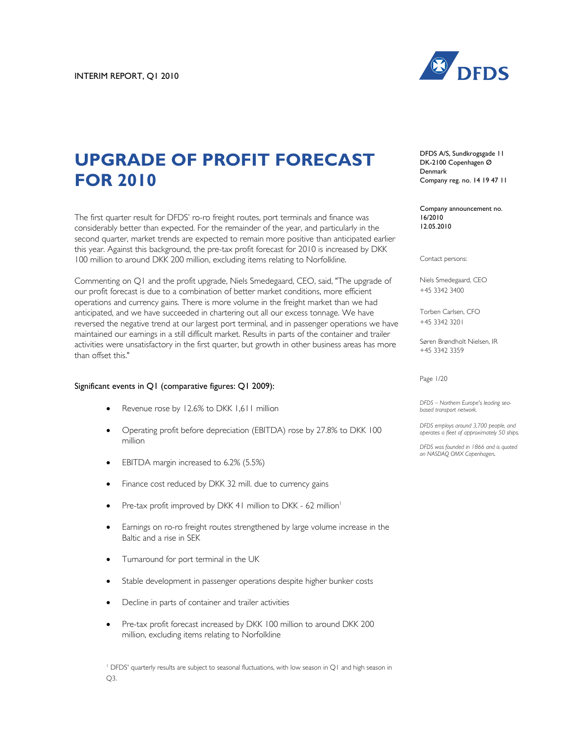

# **UPGRADE OF PROFIT FORECAST FOR 2010**

The first quarter result for DFDS' ro-ro freight routes, port terminals and finance was considerably better than expected. For the remainder of the year, and particularly in the second quarter, market trends are expected to remain more positive than anticipated earlier this year. Against this background, the pre-tax profit forecast for 2010 is increased by DKK 100 million to around DKK 200 million, excluding items relating to Norfolkline.

Commenting on Q1 and the profit upgrade, Niels Smedegaard, CEO, said, "The upgrade of our profit forecast is due to a combination of better market conditions, more efficient operations and currency gains. There is more volume in the freight market than we had anticipated, and we have succeeded in chartering out all our excess tonnage. We have reversed the negative trend at our largest port terminal, and in passenger operations we have maintained our earnings in a still difficult market. Results in parts of the container and trailer activities were unsatisfactory in the first quarter, but growth in other business areas has more than offset this."

# Significant events in Q1 (comparative figures: Q1 2009):

- Revenue rose by 12.6% to DKK 1,611 million
- Operating profit before depreciation (EBITDA) rose by 27.8% to DKK 100 million
- EBITDA margin increased to 6.2% (5.5%)
- Finance cost reduced by DKK 32 mill, due to currency gains
- Pre-tax profit improved by DKK 41 million to DKK 62 million<sup>1</sup>
- Earnings on ro-ro freight routes strengthened by large volume increase in the Baltic and a rise in SEK
- Turnaround for port terminal in the UK
- Stable development in passenger operations despite higher bunker costs
- Decline in parts of container and trailer activities
- Pre-tax profit forecast increased by DKK 100 million to around DKK 200 million, excluding items relating to Norfolkline

<sup>1</sup> DFDS' quarterly results are subject to seasonal fluctuations, with low season in Q1 and high season in Q3.

DFDS A/S, Sundkrogsgade 11 DK-2100 Copenhagen Ø Denmark Company reg. no. 14 19 47 11

Company announcement no. 16/2010 12.05.2010

Contact persons:

Niels Smedegaard, CEO +45 3342 3400

Torben Carlsen, CFO +45 3342 3201

Søren Brøndholt Nielsen, IR +45 3342 3359

Page 1/20

*DFDS – Northern Europe's leading seabased transport network.* 

*DFDS employs around 3,700 people, and operates a fleet of approximately 50 ships.*

*DFDS was founded in 1866 and is quoted on NASDAQ OMX Copenhagen.*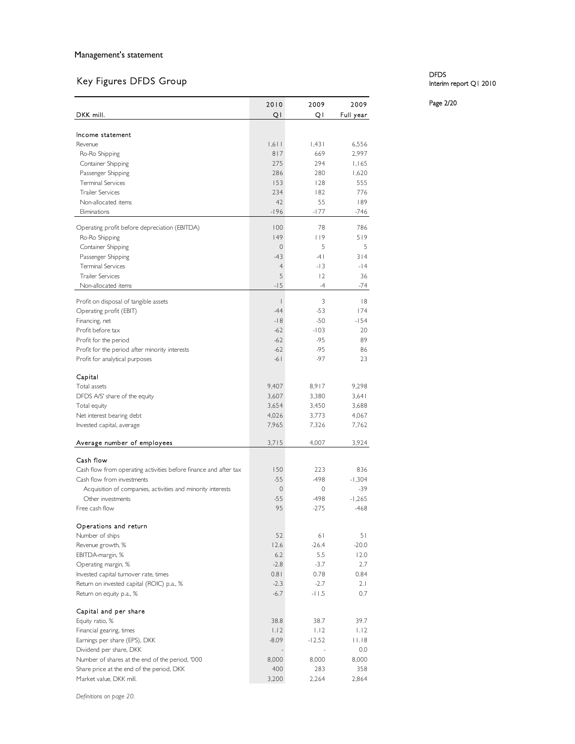# Key Figures DFDS Group

|                                                                  | 2010           | 2009         | 2009              |
|------------------------------------------------------------------|----------------|--------------|-------------------|
| DKK mill.                                                        | QI             | QI           | Full year         |
|                                                                  |                |              |                   |
| Income statement                                                 |                |              |                   |
| Revenue                                                          | 1,611<br>817   | 1,431<br>669 | 6,556<br>2,997    |
| Ro-Ro Shipping<br>Container Shipping                             | 275            | 294          | 1,165             |
| Passenger Shipping                                               | 286            | 280          | 1,620             |
| <b>Terminal Services</b>                                         | 153            | 128          | 555               |
| <b>Trailer Services</b>                                          | 234            | 182          | 776               |
| Non-allocated items                                              | 42             | 55           | 189               |
| Eliminations                                                     | $-196$         | -177         | -746              |
| Operating profit before depreciation (EBITDA)                    | 100            | 78           | 786               |
| Ro-Ro Shipping                                                   | 49             | 119          | 519               |
| Container Shipping                                               | $\mathbf{0}$   | 5            | 5                 |
| Passenger Shipping                                               | $-43$          | $-4$         | 314               |
| <b>Terminal Services</b>                                         | $\overline{4}$ | $-13$        | $-14$             |
| <b>Trailer Services</b>                                          | 5              | 2            | 36                |
| Non-allocated items                                              | $-15$          | $-4$         | -74               |
| Profit on disposal of tangible assets                            | I              | 3            | 8                 |
| Operating profit (EBIT)                                          | $-44$          | $-53$        | 174               |
| Financing, net                                                   | $-18$          | $-50$        | $-154$            |
| Profit before tax                                                | $-62$          | $-103$       | 20                |
| Profit for the period                                            | $-62$          | $-95$        | 89                |
| Profit for the period after minority interests                   | $-62$          | $-95$        | 86                |
| Profit for analytical purposes                                   | $-61$          | $-97$        | 23                |
|                                                                  |                |              |                   |
| Capital<br>Total assets                                          | 9,407          | 8,917        | 9,298             |
| DFDS A/S' share of the equity                                    | 3,607          | 3,380        | 3,641             |
| Total equity                                                     | 3,654          | 3,450        | 3,688             |
| Net interest bearing debt                                        | 4,026          | 3,773        | 4,067             |
| Invested capital, average                                        | 7,965          | 7,326        | 7,762             |
|                                                                  |                |              |                   |
| Average number of employees                                      | 3,715          | 4,007        | 3,924             |
| Cash flow                                                        |                |              |                   |
| Cash flow from operating activities before finance and after tax | 150            | 223          | 836               |
| Cash flow from investments                                       | $-55$          | -498         | $-1,304$          |
| Acquisition of companies, activities and minority interests      | $\mathbf{0}$   | 0            | -39               |
| Other investments                                                | $-55$          | -498         | $-1,265$          |
| Free cash flow                                                   | 95             | $-275$       | $-468$            |
| Operations and return                                            |                |              |                   |
| Number of ships                                                  | 52             | 61           | 51                |
| Revenue growth, %                                                | 12.6           | $-26.4$      | $-20.0$           |
| EBITDA-margin, %                                                 | 6.2            | 5.5          | 12.0              |
| Operating margin, %                                              | $-2.8$         | $-3.7$       | 2.7               |
| Invested capital turnover rate, times                            | 0.81           | 0.78         | 0.84              |
| Return on invested capital (ROIC) p.a., %                        | $-2.3$         | $-2.7$       | 2.1               |
| Return on equity p.a., %                                         | $-6.7$         | $-11.5$      | 0.7               |
| Capital and per share                                            |                |              |                   |
| Equity ratio, %                                                  | 38.8           | 38.7         | 39.7              |
| Financial gearing, times                                         | 1.12           | 1.12         | 1.12              |
| Earnings per share (EPS), DKK                                    | $-8.09$        | $-12.52$     | $ $   $ $ , $ $ 8 |
| Dividend per share, DKK                                          |                |              | 0.0               |
| Number of shares at the end of the period, '000                  | 8,000          | 8,000        | 8,000             |
| Share price at the end of the period, DKK                        | 400            | 283          | 358               |
| Market value, DKK mill.                                          | 3,200          | 2,264        | 2,864             |

# DFDS Interim report Q1 2010

Page 2/20

*Definitions on page 20.*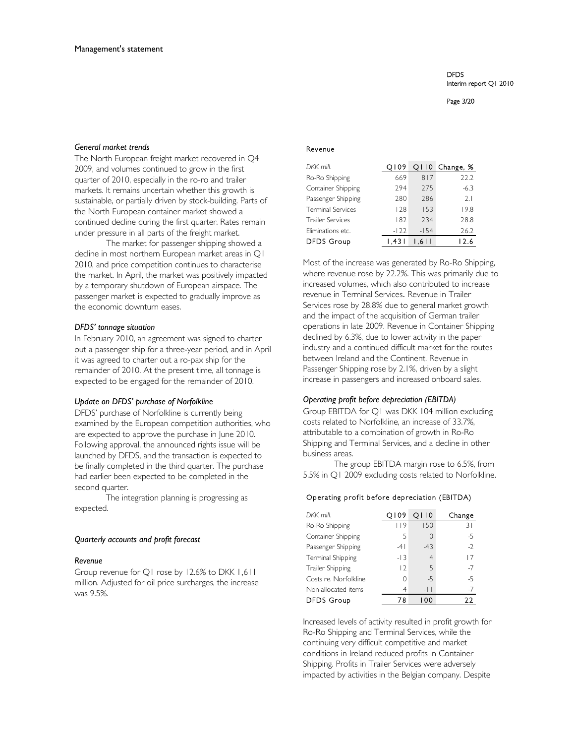Page 3/20

#### *General market trends*

The North European freight market recovered in Q4 2009, and volumes continued to grow in the first quarter of 2010, especially in the ro-ro and trailer markets. It remains uncertain whether this growth is sustainable, or partially driven by stock-building. Parts of the North European container market showed a continued decline during the first quarter. Rates remain under pressure in all parts of the freight market.

The market for passenger shipping showed a decline in most northern European market areas in Q1 2010, and price competition continues to characterise the market. In April, the market was positively impacted by a temporary shutdown of European airspace. The passenger market is expected to gradually improve as the economic downturn eases.

#### *DFDS' tonnage situation*

In February 2010, an agreement was signed to charter out a passenger ship for a three-year period, and in April it was agreed to charter out a ro-pax ship for the remainder of 2010. At the present time, all tonnage is expected to be engaged for the remainder of 2010.

#### *Update on DFDS' purchase of Norfolkline*

DFDS' purchase of Norfolkline is currently being examined by the European competition authorities, who are expected to approve the purchase in June 2010. Following approval, the announced rights issue will be launched by DFDS, and the transaction is expected to be finally completed in the third quarter. The purchase had earlier been expected to be completed in the second quarter.

The integration planning is progressing as expected.

#### *Quarterly accounts and profit forecast*

#### *Revenue*

Group revenue for Q1 rose by 12.6% to DKK 1,611 million. Adjusted for oil price surcharges, the increase was 9.5%.

#### Revenue

| DKK mill.                | 0109    |        | Q110 Change, % |
|--------------------------|---------|--------|----------------|
| Ro-Ro Shipping           | 669     | 817    | 22.2           |
| Container Shipping       | 294     | 275    | $-6.3$         |
| Passenger Shipping       | 280     | 286    | 2.1            |
| <b>Terminal Services</b> | 128     | 153    | 19.8           |
| Trailer Services         | 182     | 234    | 28.8           |
| Eliminations etc.        | $-122$  | $-154$ | 26.2           |
| <b>DFDS Group</b>        | ا 43. ا | 1.611  | 12.6           |

Most of the increase was generated by Ro-Ro Shipping, where revenue rose by 22.2%. This was primarily due to increased volumes, which also contributed to increase revenue in Terminal Services. Revenue in Trailer Services rose by 28.8% due to general market growth and the impact of the acquisition of German trailer operations in late 2009. Revenue in Container Shipping declined by 6.3%, due to lower activity in the paper industry and a continued difficult market for the routes between Ireland and the Continent. Revenue in Passenger Shipping rose by 2.1%, driven by a slight increase in passengers and increased onboard sales.

#### *Operating profit before depreciation (EBITDA)*

Group EBITDA for Q1 was DKK 104 million excluding costs related to Norfolkline, an increase of 33.7%, attributable to a combination of growth in Ro-Ro Shipping and Terminal Services, and a decline in other business areas.

The group EBITDA margin rose to 6.5%, from 5.5% in Q1 2009 excluding costs related to Norfolkline.

# Operating profit before depreciation (EBITDA)

| DKK mill.               | 0109           | O110           | Change |
|-------------------------|----------------|----------------|--------|
| Ro-Ro Shipping          | 119            | 150            | 31     |
| Container Shipping      | 5              | 0              | $-5$   |
| Passenger Shipping      | $-41$          | $-43$          | $-2$   |
| Terminal Shipping       | $-13$          | $\overline{4}$ | 17     |
| <b>Trailer Shipping</b> | $\overline{2}$ | 5              | $-7$   |
| Costs re. Norfolkline   |                | $-5$           | $-5$   |
| Non-allocated items     | -4             | $-11$          | -7     |
| <b>DFDS Group</b>       | 78             | I 00           | 22     |

Increased levels of activity resulted in profit growth for Ro-Ro Shipping and Terminal Services, while the continuing very difficult competitive and market conditions in Ireland reduced profits in Container Shipping. Profits in Trailer Services were adversely impacted by activities in the Belgian company. Despite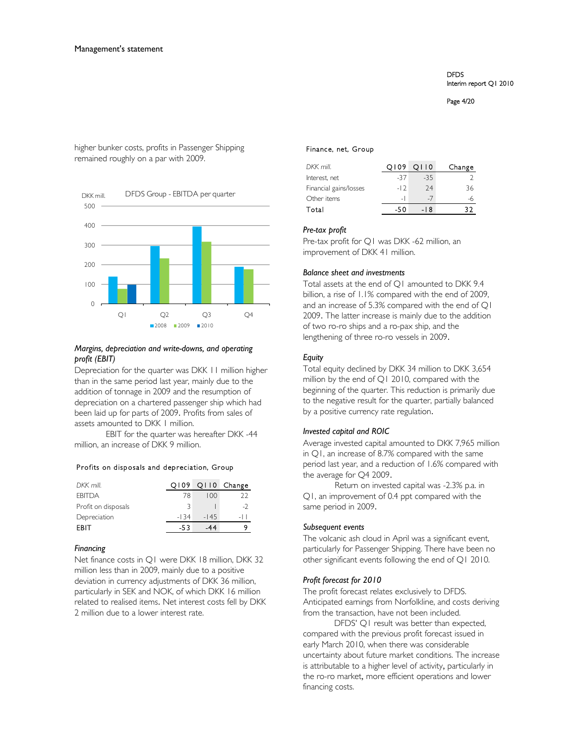Page 4/20

higher bunker costs, profits in Passenger Shipping remained roughly on a par with 2009.



# *Margins, depreciation and write-downs, and operating profit (EBIT)*

Depreciation for the quarter was DKK 11 million higher than in the same period last year, mainly due to the addition of tonnage in 2009 and the resumption of depreciation on a chartered passenger ship which had been laid up for parts of 2009. Profits from sales of assets amounted to DKK 1 million.

EBIT for the quarter was hereafter DKK -44 million, an increase of DKK 9 million.

# Profits on disposals and depreciation, Group

| DKK mill.           | Q109   |        | Q110 Change |
|---------------------|--------|--------|-------------|
| <b>FBITDA</b>       | 78     | 100    | つつ          |
| Profit on disposals |        |        |             |
| Depreciation        | $-134$ | $-145$ | -11         |
| <b>FRIT</b>         | -53    |        |             |

# *Financing*

Net finance costs in Q1 were DKK 18 million, DKK 32 million less than in 2009, mainly due to a positive deviation in currency adjustments of DKK 36 million, particularly in SEK and NOK, of which DKK 16 million related to realised items. Net interest costs fell by DKK 2 million due to a lower interest rate.

#### Finance, net, Group

| DKK mill.              | O109  | O110   | Change |
|------------------------|-------|--------|--------|
| Interest, net          | -37   | $-3.5$ |        |
| Financial gains/losses | $-12$ | 74     | 36     |
| Other items            | $-1$  | -7     |        |
| Total                  | -50   | -18    |        |

#### *Pre-tax profit*

Pre-tax profit for Q1 was DKK -62 million, an improvement of DKK 41 million.

# *Balance sheet and investments*

Total assets at the end of Q1 amounted to DKK 9.4 billion, a rise of 1.1% compared with the end of 2009, and an increase of 5.3% compared with the end of Q1 2009. The latter increase is mainly due to the addition of two ro-ro ships and a ro-pax ship, and the lengthening of three ro-ro vessels in 2009.

# *Equity*

Total equity declined by DKK 34 million to DKK 3,654 million by the end of Q1 2010, compared with the beginning of the quarter. This reduction is primarily due to the negative result for the quarter, partially balanced by a positive currency rate regulation.

# *Invested capital and ROIC*

Average invested capital amounted to DKK 7,965 million in Q1, an increase of 8.7% compared with the same period last year, and a reduction of 1.6% compared with the average for Q4 2009.

Return on invested capital was -2.3% p.a. in Q1, an improvement of 0.4 ppt compared with the same period in 2009.

# *Subsequent events*

The volcanic ash cloud in April was a significant event, particularly for Passenger Shipping. There have been no other significant events following the end of Q1 2010.

# *Profit forecast for 2010*

The profit forecast relates exclusively to DFDS. Anticipated earnings from Norfolkline, and costs deriving from the transaction, have not been included.

DFDS' Q1 result was better than expected, compared with the previous profit forecast issued in early March 2010, when there was considerable uncertainty about future market conditions. The increase is attributable to a higher level of activity, particularly in the ro-ro market, more efficient operations and lower financing costs.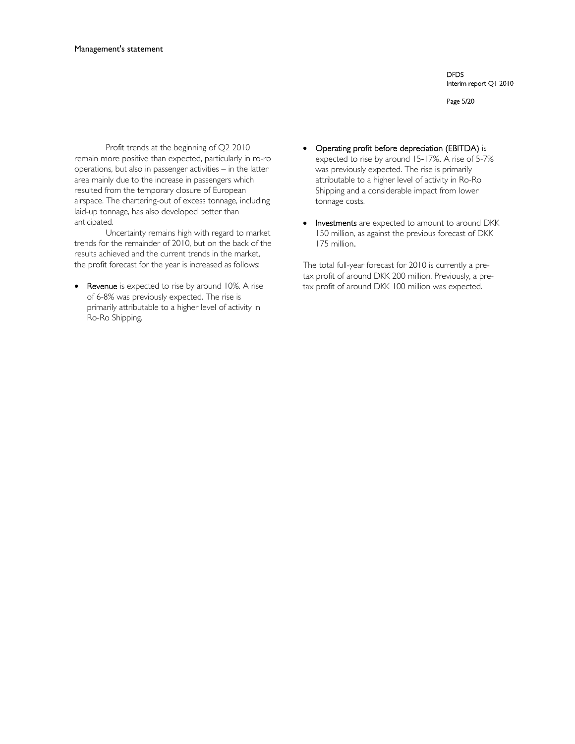Page 5/20

Profit trends at the beginning of Q2 2010 remain more positive than expected, particularly in ro-ro operations, but also in passenger activities – in the latter area mainly due to the increase in passengers which resulted from the temporary closure of European airspace. The chartering-out of excess tonnage, including laid-up tonnage, has also developed better than anticipated.

Uncertainty remains high with regard to market trends for the remainder of 2010, but on the back of the results achieved and the current trends in the market, the profit forecast for the year is increased as follows:

Revenue is expected to rise by around 10%. A rise of 6-8% was previously expected. The rise is primarily attributable to a higher level of activity in Ro-Ro Shipping.

- Operating profit before depreciation (EBITDA) is expected to rise by around 15-17%. A rise of 5-7% was previously expected. The rise is primarily attributable to a higher level of activity in Ro-Ro Shipping and a considerable impact from lower tonnage costs.
- Investments are expected to amount to around DKK 150 million, as against the previous forecast of DKK 175 million.

The total full-year forecast for 2010 is currently a pretax profit of around DKK 200 million. Previously, a pretax profit of around DKK 100 million was expected.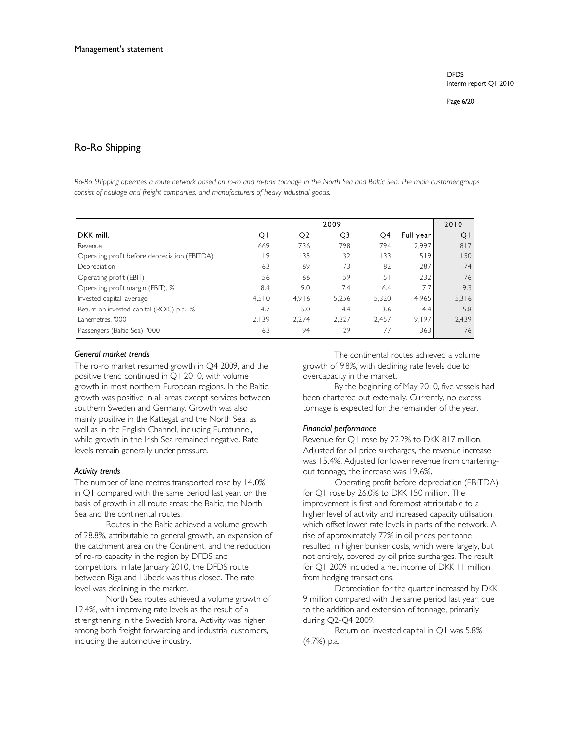# Ro-Ro Shipping

*Ro-Ro Shipping operates a route network based on ro-ro and ro-pax tonnage in the North Sea and Baltic Sea. The main customer groups consist of haulage and freight companies, and manufacturers of heavy industrial goods.* 

|                                               |       |       | 2009  |       |           | 2010  |
|-----------------------------------------------|-------|-------|-------|-------|-----------|-------|
| DKK mill.                                     | QΙ    | Q2    | Q3    | O4    | Full year | QI    |
| Revenue                                       | 669   | 736   | 798   | 794   | 2.997     | 817   |
| Operating profit before depreciation (EBITDA) | 9     | l 35  | 132   | 133   | 519       | 150   |
| Depreciation                                  | $-63$ | $-69$ | $-73$ | $-82$ | $-287$    | $-74$ |
| Operating profit (EBIT)                       | 56    | 66    | 59    | 51    | 232       | 76    |
| Operating profit margin (EBIT), %             | 8.4   | 9.0   | 7.4   | 6.4   | 7.7       | 9.3   |
| Invested capital, average                     | 4.510 | 4,916 | 5,256 | 5,320 | 4,965     | 5,316 |
| Return on invested capital (ROIC) p.a., %     | 4.7   | 5.0   | 4.4   | 3.6   | 4.4       | 5.8   |
| Lanemetres, '000                              | 2,139 | 2,274 | 2,327 | 2,457 | 9.197     | 2,439 |
| Passengers (Baltic Sea), '000                 | 63    | 94    | 129   | 77    | 363       | 76    |

#### *General market trends*

The ro-ro market resumed growth in Q4 2009, and the positive trend continued in Q1 2010, with volume growth in most northern European regions. In the Baltic, growth was positive in all areas except services between southern Sweden and Germany. Growth was also mainly positive in the Kattegat and the North Sea, as well as in the English Channel, including Eurotunnel, while growth in the Irish Sea remained negative. Rate levels remain generally under pressure.

#### *Activity trends*

The number of lane metres transported rose by 14.0% in Q1 compared with the same period last year, on the basis of growth in all route areas: the Baltic, the North Sea and the continental routes.

Routes in the Baltic achieved a volume growth of 28.8%, attributable to general growth, an expansion of the catchment area on the Continent, and the reduction of ro-ro capacity in the region by DFDS and competitors. In late January 2010, the DFDS route between Riga and Lübeck was thus closed. The rate level was declining in the market.

North Sea routes achieved a volume growth of 12.4%, with improving rate levels as the result of a strengthening in the Swedish krona. Activity was higher among both freight forwarding and industrial customers, including the automotive industry.

The continental routes achieved a volume growth of 9.8%, with declining rate levels due to overcapacity in the market.

By the beginning of May 2010, five vessels had been chartered out externally. Currently, no excess tonnage is expected for the remainder of the year.

#### *Financial performance*

Revenue for Q1 rose by 22.2% to DKK 817 million. Adjusted for oil price surcharges, the revenue increase was 15.4%. Adjusted for lower revenue from charteringout tonnage, the increase was 19.6%.

Operating profit before depreciation (EBITDA) for Q1 rose by 26.0% to DKK 150 million. The improvement is first and foremost attributable to a higher level of activity and increased capacity utilisation, which offset lower rate levels in parts of the network. A rise of approximately 72% in oil prices per tonne resulted in higher bunker costs, which were largely, but not entirely, covered by oil price surcharges. The result for Q1 2009 included a net income of DKK 11 million from hedging transactions.

Depreciation for the quarter increased by DKK 9 million compared with the same period last year, due to the addition and extension of tonnage, primarily during Q2-Q4 2009.

Return on invested capital in Q1 was 5.8% (4.7%) p.a.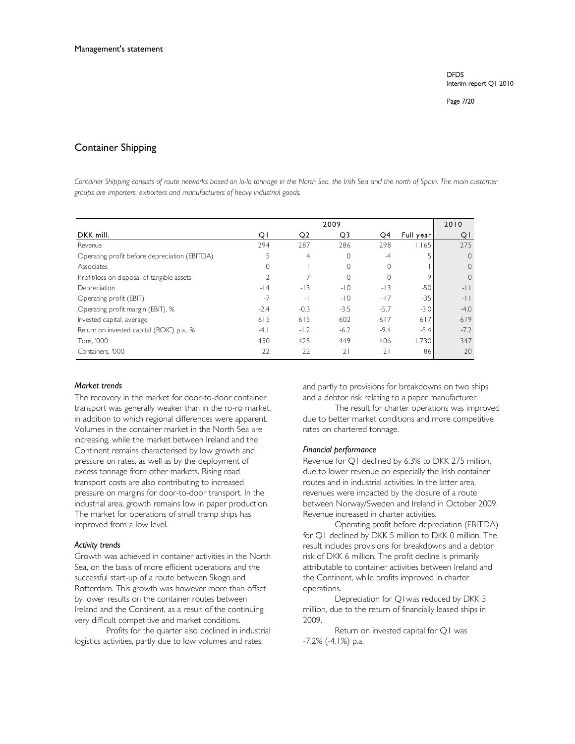Page 7/20

# Container Shipping

Container Shipping consists of route networks based on lo-lo tonnage in the North Sea, the Irish Sea and the north of Spain. The main customer *groups are importers, exporters and manufacturers of heavy industrial goods.* 

|                                               |        |                | 2009     |          |           | 2010     |
|-----------------------------------------------|--------|----------------|----------|----------|-----------|----------|
| DKK mill.                                     | QI     | Q <sub>2</sub> | Q3       | Q4       | Full year | QI       |
| Revenue                                       | 294    | 287            | 286      | 298      | 1.165     | 275      |
| Operating profit before depreciation (EBITDA) | 5      | 4              | $\Omega$ | $-4$     |           | $\Omega$ |
| Associates                                    | 0      |                | $\Omega$ | $\Omega$ |           | $\Omega$ |
| Profit/loss on disposal of tangible assets    |        |                | $\Omega$ | $\Omega$ | 9         | $\Omega$ |
| Depreciation                                  | $-14$  | $-13$          | $-10$    | $-13$    | $-50$     | $-11$    |
| Operating profit (EBIT)                       | $-7$   | $\overline{a}$ | $-10$    | $-17$    | $-35$     | $-11$    |
| Operating profit margin (EBIT), %             | $-2.4$ | $-0.3$         | $-3.5$   | $-5.7$   | $-3.0$    | $-4.0$   |
| Invested capital, average                     | 615    | 615            | 602      | 617      | 617       | 619      |
| Return on invested capital (ROIC) p.a., %     | $-4.1$ | $-1.2$         | $-6.2$   | $-9.4$   | $-5.4$    | $-7.2$   |
| Tons, '000                                    | 450    | 425            | 449      | 406      | 1,730     | 347      |
| Containers, '000                              | 22     | 22             | 21       | 21       | 86        | 20       |

#### *Market trends*

The recovery in the market for door-to-door container transport was generally weaker than in the ro-ro market, in addition to which regional differences were apparent. Volumes in the container market in the North Sea are increasing, while the market between Ireland and the Continent remains characterised by low growth and pressure on rates, as well as by the deployment of excess tonnage from other markets. Rising road transport costs are also contributing to increased pressure on margins for door-to-door transport. In the industrial area, growth remains low in paper production. The market for operations of small tramp ships has improved from a low level.

#### *Activity trends*

Growth was achieved in container activities in the North Sea, on the basis of more efficient operations and the successful start-up of a route between Skogn and Rotterdam. This growth was however more than offset by lower results on the container routes between Ireland and the Continent, as a result of the continuing very difficult competitive and market conditions.

Profits for the quarter also declined in industrial logistics activities, partly due to low volumes and rates,

and partly to provisions for breakdowns on two ships and a debtor risk relating to a paper manufacturer.

The result for charter operations was improved due to better market conditions and more competitive rates on chartered tonnage.

#### *Financial performance*

Revenue for Q1 declined by 6.3% to DKK 275 million, due to lower revenue on especially the Irish container routes and in industrial activities. In the latter area, revenues were impacted by the closure of a route between Norway/Sweden and Ireland in October 2009. Revenue increased in charter activities.

Operating profit before depreciation (EBITDA) for Q1 declined by DKK 5 million to DKK 0 million. The result includes provisions for breakdowns and a debtor risk of DKK 6 million. The profit decline is primarily attributable to container activities between Ireland and the Continent, while profits improved in charter operations.

Depreciation for Q1was reduced by DKK 3 million, due to the return of financially leased ships in 2009.

Return on invested capital for Q1 was -7.2% (-4.1%) p.a.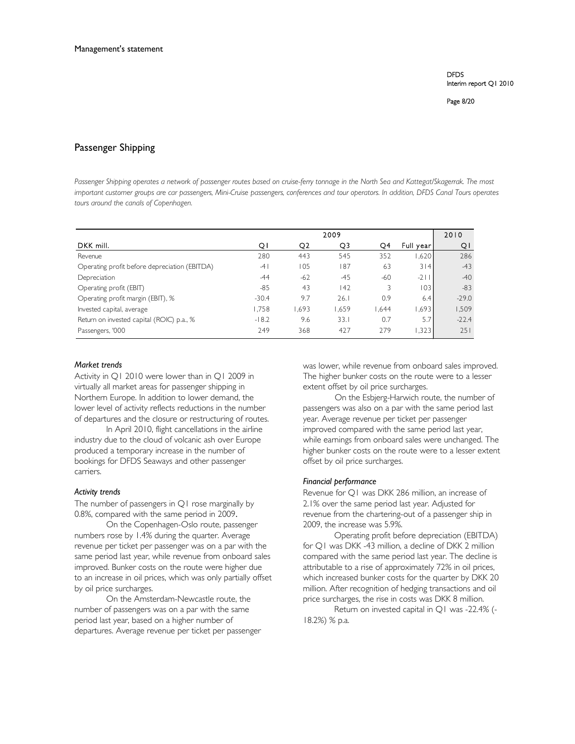# Passenger Shipping

*Passenger Shipping operates a network of passenger routes based on cruise-ferry tonnage in the North Sea and Kattegat/Skagerrak. The most important customer groups are car passengers, Mini-Cruise passengers, conferences and tour operators. In addition, DFDS Canal Tours operates tours around the canals of Copenhagen.* 

|                                               | 2009    |       |       |       | 2010       |         |
|-----------------------------------------------|---------|-------|-------|-------|------------|---------|
| DKK mill.                                     | QΙ      | Q2    | Q3    | Q4    | Full year! | QI      |
| Revenue                                       | 280     | 443   | 545   | 352   | 1,620      | 286     |
| Operating profit before depreciation (EBITDA) | $-4$    | 105   | 187   | 63    | 3 4        | $-43$   |
| Depreciation                                  | $-44$   | $-62$ | $-45$ | $-60$ | $-2$       | $-40$   |
| Operating profit (EBIT)                       | $-85$   | 43    | 142   | ζ     | 03         | $-83$   |
| Operating profit margin (EBIT), %             | $-30.4$ | 9.7   | 26.1  | 0.9   | 6.4        | $-29.0$ |
| Invested capital, average                     | 1,758   | 1,693 | 1,659 | 1.644 | .693       | 1,509   |
| Return on invested capital (ROIC) p.a., %     | $-18.2$ | 9.6   | 33.1  | 0.7   | 5.7        | $-22.4$ |
| Passengers, '000                              | 249     | 368   | 427   | 279   | .323       | 251     |

#### *Market trends*

Activity in Q1 2010 were lower than in Q1 2009 in virtually all market areas for passenger shipping in Northern Europe. In addition to lower demand, the lower level of activity reflects reductions in the number of departures and the closure or restructuring of routes.

In April 2010, flight cancellations in the airline industry due to the cloud of volcanic ash over Europe produced a temporary increase in the number of bookings for DFDS Seaways and other passenger carriers.

# *Activity trends*

The number of passengers in Q1 rose marginally by 0.8%, compared with the same period in 2009.

On the Copenhagen-Oslo route, passenger numbers rose by 1.4% during the quarter. Average revenue per ticket per passenger was on a par with the same period last year, while revenue from onboard sales improved. Bunker costs on the route were higher due to an increase in oil prices, which was only partially offset by oil price surcharges.

On the Amsterdam-Newcastle route, the number of passengers was on a par with the same period last year, based on a higher number of departures. Average revenue per ticket per passenger was lower, while revenue from onboard sales improved. The higher bunker costs on the route were to a lesser extent offset by oil price surcharges.

On the Esbjerg-Harwich route, the number of passengers was also on a par with the same period last year. Average revenue per ticket per passenger improved compared with the same period last year, while earnings from onboard sales were unchanged. The higher bunker costs on the route were to a lesser extent offset by oil price surcharges.

# *Financial performance*

Revenue for Q1 was DKK 286 million, an increase of 2.1% over the same period last year. Adjusted for revenue from the chartering-out of a passenger ship in 2009, the increase was 5.9%.

Operating profit before depreciation (EBITDA) for Q1 was DKK -43 million, a decline of DKK 2 million compared with the same period last year. The decline is attributable to a rise of approximately 72% in oil prices, which increased bunker costs for the quarter by DKK 20 million. After recognition of hedging transactions and oil price surcharges, the rise in costs was DKK 8 million.

Return on invested capital in Q1 was -22.4% (- 18.2%) % p.a.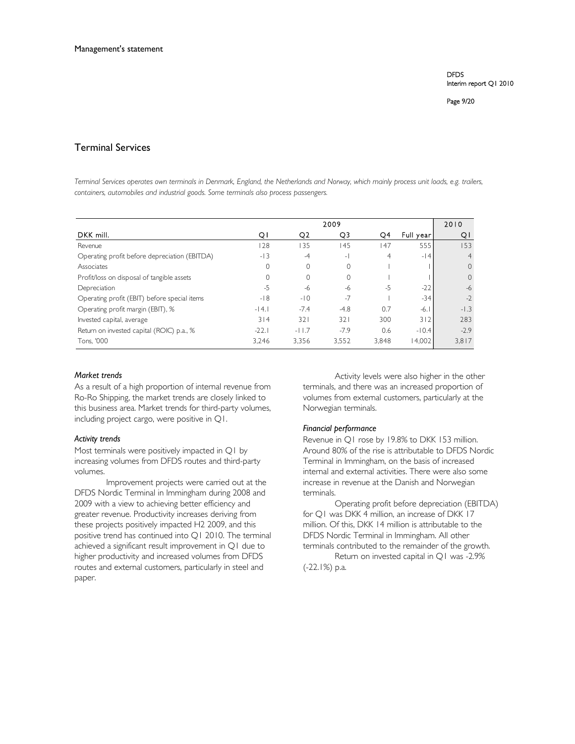Page 9/20

# Terminal Services

*Terminal Services operates own terminals in Denmark, England, the Netherlands and Norway, which mainly process unit loads, e.g. trailers, containers, automobiles and industrial goods. Some terminals also process passengers.* 

|                                               | 2009    |          |                |                |           | 2010     |
|-----------------------------------------------|---------|----------|----------------|----------------|-----------|----------|
| DKK mill.                                     | ΟI      | Q2       | Q3             | Q4             | Full year | QI       |
| Revenue                                       | 128     | 135      | 145            | 147            | 555       | 153      |
| Operating profit before depreciation (EBITDA) | $-13$   | $-4$     | $\overline{a}$ | $\overline{4}$ | $-14$     |          |
| Associates                                    | 0       | $\Omega$ | $\Omega$       |                |           | $\Omega$ |
| Profit/loss on disposal of tangible assets    | 0       | $\Omega$ | 0              |                |           | $\Omega$ |
| Depreciation                                  | $-5$    | $-6$     | -6             | $-5$           | $-22$     | $-6$     |
| Operating profit (EBIT) before special items  | $-18$   | $-10$    | $-7$           |                | $-34$     | $-2$     |
| Operating profit margin (EBIT), %             | $-14.1$ | $-7.4$   | $-4.8$         | 0.7            | $-6.1$    | $-1.3$   |
| Invested capital, average                     | 314     | 321      | 321            | 300            | 3 2       | 283      |
| Return on invested capital (ROIC) p.a., %     | $-22.1$ | $-11.7$  | $-7.9$         | 0.6            | $-10.4$   | $-2.9$   |
| Tons, '000                                    | 3.246   | 3.356    | 3,552          | 3,848          | 14.002    | 3,817    |

# *Market trends*

As a result of a high proportion of internal revenue from Ro-Ro Shipping, the market trends are closely linked to this business area. Market trends for third-party volumes, including project cargo, were positive in Q1.

#### *Activity trends*

Most terminals were positively impacted in Q1 by increasing volumes from DFDS routes and third-party volumes.

Improvement projects were carried out at the DFDS Nordic Terminal in Immingham during 2008 and 2009 with a view to achieving better efficiency and greater revenue. Productivity increases deriving from these projects positively impacted H2 2009, and this positive trend has continued into Q1 2010. The terminal achieved a significant result improvement in Q1 due to higher productivity and increased volumes from DFDS routes and external customers, particularly in steel and paper.

Activity levels were also higher in the other terminals, and there was an increased proportion of volumes from external customers, particularly at the Norwegian terminals.

# *Financial performance*

Revenue in Q1 rose by 19.8% to DKK 153 million. Around 80% of the rise is attributable to DFDS Nordic Terminal in Immingham, on the basis of increased internal and external activities. There were also some increase in revenue at the Danish and Norwegian terminals.

Operating profit before depreciation (EBITDA) for Q1 was DKK 4 million, an increase of DKK 17 million. Of this, DKK 14 million is attributable to the DFDS Nordic Terminal in Immingham. All other terminals contributed to the remainder of the growth.

Return on invested capital in Q1 was -2.9% (-22.1%) p.a.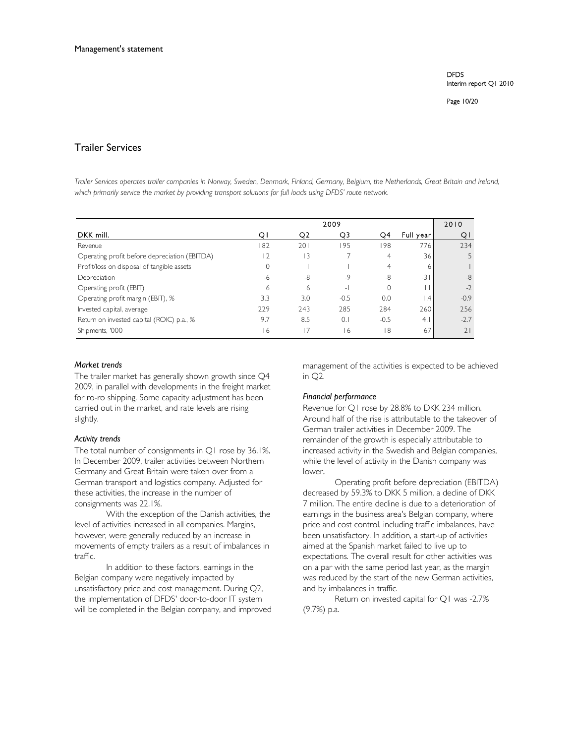Page 10/20

# Trailer Services

*Trailer Services operates trailer companies in Norway, Sweden, Denmark, Finland, Germany, Belgium, the Netherlands, Great Britain and Ireland, which primarily service the market by providing transport solutions for full loads using DFDS' route network.* 

|                                               | 2009 |     |        |        | 2010            |        |
|-----------------------------------------------|------|-----|--------|--------|-----------------|--------|
| DKK mill.                                     | Οl   | O2  | Q3     | Q4     | Full year       | Q.     |
| Revenue                                       | 182  | 201 | 195    | 98     | 776             | 234    |
| Operating profit before depreciation (EBITDA) | 12   | 3   |        | 4      | 36              |        |
| Profit/loss on disposal of tangible assets    | 0    |     |        | 4      | 6               |        |
| Depreciation                                  | -6   | -8  | $-9$   | -8     | $-31$           | $-8$   |
| Operating profit (EBIT)                       | 6    | 6   | ٠H     |        |                 | $-2$   |
| Operating profit margin (EBIT), %             | 3.3  | 3.0 | $-0.5$ | 0.0    | .4 <sup>F</sup> | $-0.9$ |
| Invested capital, average                     | 229  | 243 | 285    | 284    | 260             | 256    |
| Return on invested capital (ROIC) p.a., %     | 9.7  | 8.5 | 0.1    | $-0.5$ | 4.1             | $-2.7$ |
| Shipments, '000                               | 16   | 17  | 6      | 18     | 67              | 21     |

# *Market trends*

The trailer market has generally shown growth since Q4 2009, in parallel with developments in the freight market for ro-ro shipping. Some capacity adjustment has been carried out in the market, and rate levels are rising slightly.

# *Activity trends*

The total number of consignments in Q1 rose by 36.1%. In December 2009, trailer activities between Northern Germany and Great Britain were taken over from a German transport and logistics company. Adjusted for these activities, the increase in the number of consignments was 22.1%.

With the exception of the Danish activities, the level of activities increased in all companies. Margins, however, were generally reduced by an increase in movements of empty trailers as a result of imbalances in traffic.

In addition to these factors, earnings in the Belgian company were negatively impacted by unsatisfactory price and cost management. During Q2, the implementation of DFDS' door-to-door IT system will be completed in the Belgian company, and improved management of the activities is expected to be achieved in Q2.

# *Financial performance*

Revenue for Q1 rose by 28.8% to DKK 234 million. Around half of the rise is attributable to the takeover of German trailer activities in December 2009. The remainder of the growth is especially attributable to increased activity in the Swedish and Belgian companies, while the level of activity in the Danish company was lower.

Operating profit before depreciation (EBITDA) decreased by 59.3% to DKK 5 million, a decline of DKK 7 million. The entire decline is due to a deterioration of earnings in the business area's Belgian company, where price and cost control, including traffic imbalances, have been unsatisfactory. In addition, a start-up of activities aimed at the Spanish market failed to live up to expectations. The overall result for other activities was on a par with the same period last year, as the margin was reduced by the start of the new German activities, and by imbalances in traffic.

Return on invested capital for Q1 was -2.7% (9.7%) p.a.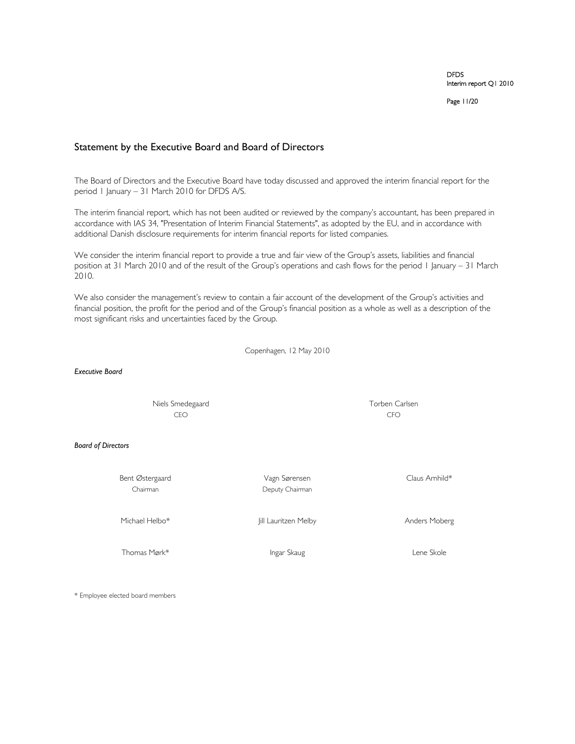Page 11/20

# Statement by the Executive Board and Board of Directors

The Board of Directors and the Executive Board have today discussed and approved the interim financial report for the period 1 January – 31 March 2010 for DFDS A/S.

The interim financial report, which has not been audited or reviewed by the company's accountant, has been prepared in accordance with IAS 34, "Presentation of Interim Financial Statements", as adopted by the EU, and in accordance with additional Danish disclosure requirements for interim financial reports for listed companies.

We consider the interim financial report to provide a true and fair view of the Group's assets, liabilities and financial position at 31 March 2010 and of the result of the Group's operations and cash flows for the period 1 January – 31 March 2010.

We also consider the management's review to contain a fair account of the development of the Group's activities and financial position, the profit for the period and of the Group's financial position as a whole as well as a description of the most significant risks and uncertainties faced by the Group.

Copenhagen, 12 May 2010

*Executive Board*

 Niels Smedegaard Torben Carlsen CEO CFO

*Board of Directors* 

Bent Østergaard Vagn Sørensen Claus Arnhild\*

Chairman Deputy Chairman

Michael Helbo\* Jill Lauritzen Melby Anders Moberg

Thomas Mørk\* Thomas Mørk i Lene Skole

\* Employee elected board members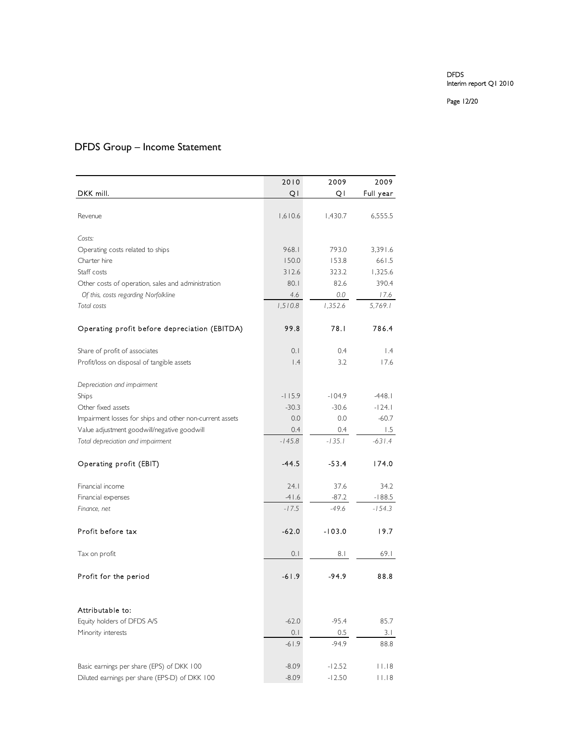Page 12/20

# DFDS Group – Income Statement

|                                                          | 2010     | 2009     | 2009            |
|----------------------------------------------------------|----------|----------|-----------------|
| DKK mill.                                                | QI       | QI       | Full year       |
|                                                          |          |          |                 |
| Revenue                                                  | 1,610.6  | 1,430.7  | 6,555.5         |
|                                                          |          |          |                 |
| Costs:                                                   |          |          |                 |
| Operating costs related to ships                         | 968.1    | 793.0    | 3,391.6         |
| Charter hire                                             | 150.0    | 153.8    | 661.5           |
| Staff costs                                              | 312.6    | 323.2    | 1,325.6         |
| Other costs of operation, sales and administration       | 80.1     | 82.6     | 390.4           |
| Of this, costs regarding Norfolkline                     | 4.6      | $0.0\,$  | 17.6            |
| Total costs                                              | 1,510.8  | 1,352.6  | 5,769.1         |
| Operating profit before depreciation (EBITDA)            | 99.8     | 78.I     | 786.4           |
| Share of profit of associates                            | 0.1      | 0.4      | $\mathsf{I}$ .4 |
| Profit/loss on disposal of tangible assets               | 1.4      | 3.2      | 17.6            |
|                                                          |          |          |                 |
| Depreciation and impairment                              |          |          |                 |
| Ships                                                    | $-115.9$ | $-104.9$ | $-448.1$        |
| Other fixed assets                                       | $-30.3$  | $-30.6$  | $-124.1$        |
| Impairment losses for ships and other non-current assets | 0.0      | 0.0      | $-60.7$         |
| Value adjustment goodwill/negative goodwill              | 0.4      | 0.4      | 1.5             |
| Total depreciation and impairment                        | $-145.8$ | $-135.1$ | $-631.4$        |
| Operating profit (EBIT)                                  | -44.5    | $-53.4$  | 174.0           |
| Financial income                                         | 24.1     | 37.6     | 34.2            |
| Financial expenses                                       | $-41.6$  | $-87.2$  | $-188.5$        |
| Finance, net                                             | $-17.5$  | $-49.6$  | $-154.3$        |
|                                                          |          |          |                 |
| Profit before tax                                        | -62.0    | -103.0   | 19.7            |
| Tax on profit                                            | 0.1      | 8. I     | 69.1            |
| Profit for the period                                    | -61.9    | $-94.9$  | 88.8            |
|                                                          |          |          |                 |
| Attributable to:                                         |          |          |                 |
| Equity holders of DFDS A/S                               | $-62.0$  | $-95.4$  | 85.7            |
| Minority interests                                       | 0.1      | 0.5      | 3.1             |
|                                                          | $-61.9$  | $-94.9$  | 88.8            |
|                                                          |          |          |                 |
| Basic earnings per share (EPS) of DKK 100                | $-8.09$  | $-12.52$ | 11.18           |
| Diluted earnings per share (EPS-D) of DKK 100            | $-8.09$  | $-12.50$ | 11.18           |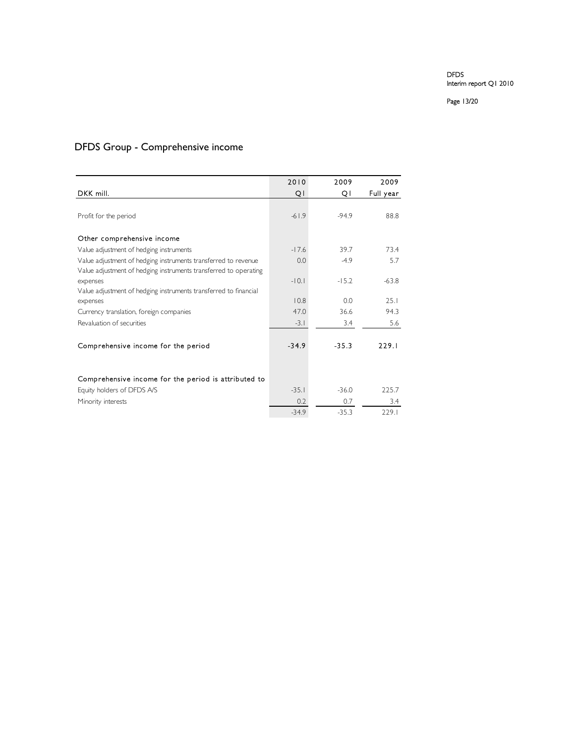Page 13/20

# DFDS Group - Comprehensive income

|                                                                  | 2010    | 2009    | 2009      |
|------------------------------------------------------------------|---------|---------|-----------|
| DKK mill.                                                        | Q١      | Q١      | Full year |
|                                                                  |         |         |           |
| Profit for the period                                            | $-61.9$ | $-94.9$ | 88.8      |
|                                                                  |         |         |           |
| Other comprehensive income                                       |         |         |           |
| Value adjustment of hedging instruments                          | $-17.6$ | 39.7    | 73.4      |
| Value adjustment of hedging instruments transferred to revenue   | 0.0     | $-4.9$  | 5.7       |
| Value adjustment of hedging instruments transferred to operating |         |         |           |
| expenses                                                         | $-10.1$ | $-15.2$ | $-63.8$   |
| Value adjustment of hedging instruments transferred to financial | 10.8    | 0.0     | 25.1      |
| expenses                                                         |         |         |           |
| Currency translation, foreign companies                          | 47.0    | 36.6    | 94.3      |
| Revaluation of securities                                        | $-3.1$  | 3.4     | 5.6       |
|                                                                  |         |         |           |
| Comprehensive income for the period                              | $-34.9$ | $-35.3$ | 229.1     |
|                                                                  |         |         |           |
|                                                                  |         |         |           |
| Comprehensive income for the period is attributed to             |         |         |           |
| Equity holders of DFDS A/S                                       | $-35.1$ | $-36.0$ | 225.7     |
| Minority interests                                               | 0.2     | 0.7     | 3.4       |
|                                                                  | $-34.9$ | $-35.3$ | 229.1     |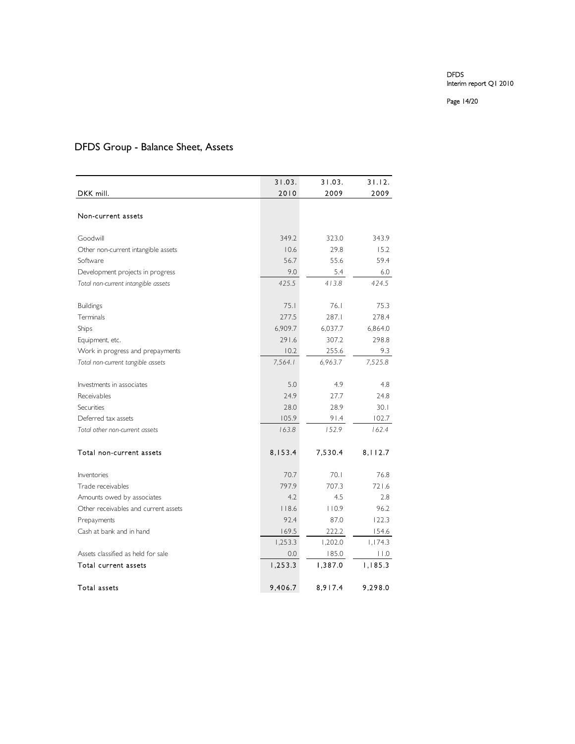Page 14/20

# DFDS Group - Balance Sheet, Assets

|                                      | 31.03.  | 31.03.  | 31.12.  |
|--------------------------------------|---------|---------|---------|
| DKK mill.                            | 2010    | 2009    | 2009    |
|                                      |         |         |         |
| Non-current assets                   |         |         |         |
|                                      |         |         |         |
| Goodwill                             | 349.2   | 323.0   | 343.9   |
| Other non-current intangible assets  | 10.6    | 29.8    | 15.2    |
| Software                             | 56.7    | 55.6    | 59.4    |
| Development projects in progress     | 9.0     | 5.4     | 6.0     |
| Total non-current intangible assets  | 425.5   | 413.8   | 424.5   |
| <b>Buildings</b>                     | 75.1    | 76.1    | 75.3    |
| Terminals                            | 277.5   | 287.1   | 278.4   |
| Ships                                | 6,909.7 | 6,037.7 | 6,864.0 |
| Equipment, etc.                      | 291.6   | 307.2   | 298.8   |
| Work in progress and prepayments     | 10.2    | 255.6   | 9.3     |
| Total non-current tangible assets    | 7,564.1 | 6,963.7 | 7,525.8 |
|                                      |         |         |         |
| Investments in associates            | 5.0     | 4.9     | 4.8     |
| Receivables                          | 24.9    | 27.7    | 24.8    |
| Securities                           | 28.0    | 28.9    | 30.1    |
| Deferred tax assets                  | 105.9   | 91.4    | 102.7   |
| Total other non-current assets       | 163.8   | 152.9   | 162.4   |
| Total non-current assets             | 8,153.4 | 7,530.4 | 8,112.7 |
|                                      |         |         |         |
| Inventories                          | 70.7    | 70.1    | 76.8    |
| Trade receivables                    | 797.9   | 707.3   | 721.6   |
| Amounts owed by associates           | 4.2     | 4.5     | 2.8     |
| Other receivables and current assets | 118.6   | 110.9   | 96.2    |
| Prepayments                          | 92.4    | 87.0    | 122.3   |
| Cash at bank and in hand             | 169.5   | 222.2   | 154.6   |
|                                      | 1,253.3 | 1,202.0 | 1,174.3 |
| Assets classified as held for sale   | 0.0     | 185.0   | 11.0    |
| Total current assets                 | 1,253.3 | 1,387.0 | 1,185.3 |
| Total assets                         | 9,406.7 | 8,917.4 | 9,298.0 |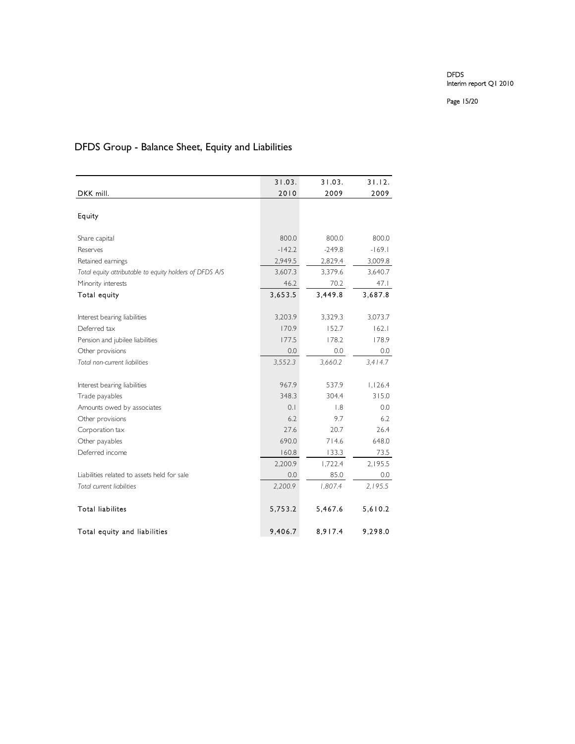Page 15/20

# DFDS Group - Balance Sheet, Equity and Liabilities

|                                                         | 31.03.   | 31.03.   | 31.12.   |
|---------------------------------------------------------|----------|----------|----------|
| DKK mill.                                               | 2010     | 2009     | 2009     |
|                                                         |          |          |          |
| Equity                                                  |          |          |          |
|                                                         |          |          |          |
| Share capital                                           | 800.0    | 800.0    | 800.0    |
| Reserves                                                | $-142.2$ | $-249.8$ | $-169.1$ |
| Retained earnings                                       | 2,949.5  | 2,829.4  | 3,009.8  |
| Total equity attributable to equity holders of DFDS A/S | 3,607.3  | 3,379.6  | 3,640.7  |
| Minority interests                                      | 46.2     | 70.2     | 47.1     |
| Total equity                                            | 3,653.5  | 3,449.8  | 3,687.8  |
|                                                         |          |          |          |
| Interest bearing liabilities                            | 3,203.9  | 3,329.3  | 3,073.7  |
| Deferred tax                                            | 170.9    | 152.7    | 162.1    |
| Pension and jubilee liabilities                         | 177.5    | 178.2    | 178.9    |
| Other provisions                                        | 0.0      | 0.0      | 0.0      |
| Total non-current liabilities                           | 3,552.3  | 3,660.2  | 3,414.7  |
|                                                         |          |          |          |
| Interest bearing liabilities                            | 967.9    | 537.9    | 1,126.4  |
| Trade payables                                          | 348.3    | 304.4    | 315.0    |
| Amounts owed by associates                              | 0.1      | 1.8      | 0.0      |
| Other provisions                                        | 6.2      | 9.7      | 6.2      |
| Corporation tax                                         | 27.6     | 20.7     | 26.4     |
| Other payables                                          | 690.0    | 714.6    | 648.0    |
| Deferred income                                         | 160.8    | 133.3    | 73.5     |
|                                                         | 2,200.9  | 1,722.4  | 2,195.5  |
| Liabilities related to assets held for sale             | 0.0      | 85.0     | 0.0      |
| Total current liabilities                               | 2,200.9  | 1,807.4  | 2,195.5  |
|                                                         |          |          |          |
| <b>Total liabilites</b>                                 | 5,753.2  | 5,467.6  | 5,610.2  |
| Total equity and liabilities                            | 9,406.7  | 8,917.4  | 9,298.0  |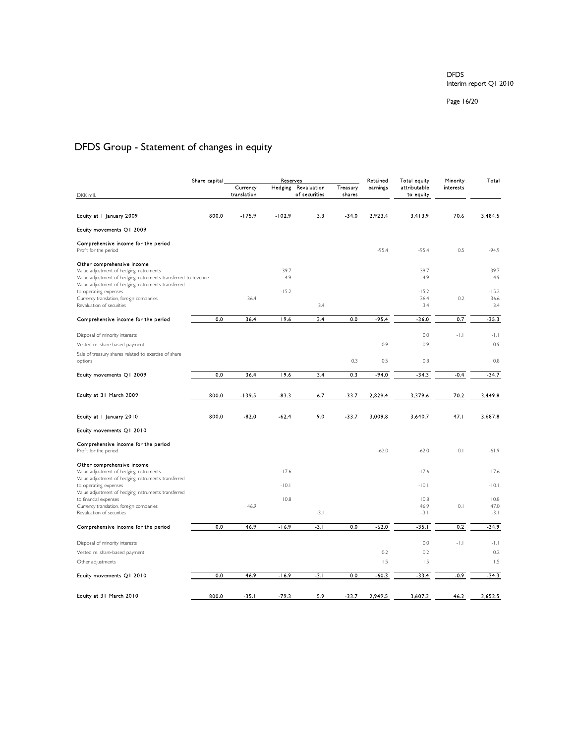Page 16/20

# DFDS Group - Statement of changes in equity

|                                                                                                                                                                                                | Share capital | Reserves                |                | Retained                     | Total equity       | Minority | Total                     |           |                        |
|------------------------------------------------------------------------------------------------------------------------------------------------------------------------------------------------|---------------|-------------------------|----------------|------------------------------|--------------------|----------|---------------------------|-----------|------------------------|
|                                                                                                                                                                                                |               | Currency<br>translation | Hedging        | Revaluation<br>of securities | Treasury<br>shares | earnings | attributable<br>to equity | interests |                        |
| DKK mill,                                                                                                                                                                                      |               |                         |                |                              |                    |          |                           |           |                        |
| Equity at I January 2009                                                                                                                                                                       | 800.0         | $-175.9$                | $-102.9$       | 3.3                          | $-34.0$            | 2,923.4  | 3413.9                    | 70.6      | 3,484.5                |
| Equity movements Q1 2009                                                                                                                                                                       |               |                         |                |                              |                    |          |                           |           |                        |
| Comprehensive income for the period<br>Profit for the period                                                                                                                                   |               |                         |                |                              |                    | $-95.4$  | $-95.4$                   | 0.5       | $-94.9$                |
| Other comprehensive income<br>Value adjustment of hedging instruments<br>Value adjustment of hedging instruments transferred to revenue<br>Value adjustment of hedging instruments transferred |               |                         | 39.7<br>$-4.9$ |                              |                    |          | 39.7<br>$-4.9$            |           | 39.7<br>$-4.9$         |
| to operating expenses<br>Currency translation, foreign companies<br>Revaluation of securities                                                                                                  |               | 36.4                    | $-15.2$        | 3.4                          |                    |          | $-15.2$<br>36.4<br>3.4    | 0.2       | $-15.2$<br>36.6<br>3.4 |
| Comprehensive income for the period                                                                                                                                                            | 0.0           | 36.4                    | 19.6           | 3.4                          | 0.0                | $-95.4$  | $-36.0$                   | 0.7       | $-35.3$                |
| Disposal of minority interests                                                                                                                                                                 |               |                         |                |                              |                    |          | 0.0                       | $-1.1$    | $-1.1$                 |
| Vested re. share-based payment                                                                                                                                                                 |               |                         |                |                              |                    | 0.9      | 0.9                       |           | 0.9                    |
| Sale of treasury shares related to exercise of share<br>options                                                                                                                                |               |                         |                |                              | 0.3                | 0.5      | 0.8                       |           | 0.8                    |
| Equity movements Q1 2009                                                                                                                                                                       | 0.0           | 36.4                    | 19.6           | 3.4                          | 0.3                | $-94.0$  | $-34.3$                   | $-0.4$    | $-34.7$                |
|                                                                                                                                                                                                |               |                         |                |                              |                    |          |                           |           |                        |
| Equity at 31 March 2009                                                                                                                                                                        | 800.0         | $-139.5$                | -83.3          | 6.7                          | $-33.7$            | 2,829.4  | 3,379.6                   | 70.2      | 3,449.8                |
| Equity at I January 2010                                                                                                                                                                       | 800.0         | $-82.0$                 | $-62.4$        | 9.0                          | $-33.7$            | 3,009.8  | 3.640.7                   | 47.1      | 3,687.8                |
| Equity movements Q1 2010                                                                                                                                                                       |               |                         |                |                              |                    |          |                           |           |                        |
| Comprehensive income for the period<br>Profit for the period                                                                                                                                   |               |                         |                |                              |                    | $-62.0$  | $-62.0$                   | 0.1       | $-61.9$                |
| Other comprehensive income<br>Value adjustment of hedging instruments                                                                                                                          |               |                         | $-17.6$        |                              |                    |          | $-17.6$                   |           | $-17.6$                |
| Value adjustment of hedging instruments transferred<br>to operating expenses                                                                                                                   |               |                         | $-10.1$        |                              |                    |          | $-10.1$                   |           | $-10.1$                |
| Value adjustment of hedging instruments transferred<br>to financial expenses                                                                                                                   |               |                         | 10.8           |                              |                    |          | 10.8                      |           | 10.8                   |
| Currency translation, foreign companies<br>Revaluation of securities                                                                                                                           |               | 46.9                    |                | $-3.1$                       |                    |          | 46.9<br>$-3.1$            | 0.1       | 47.0<br>$-3.1$         |
| Comprehensive income for the period                                                                                                                                                            | 0.0           | 46.9                    | $-16.9$        | $-3.1$                       | 0.0                | $-62.0$  | $-35.1$                   | 0.2       | $-34.9$                |
| Disposal of minority interests                                                                                                                                                                 |               |                         |                |                              |                    |          | 0.0                       | $-1.1$    | $-1.1$                 |
| Vested re. share-based payment                                                                                                                                                                 |               |                         |                |                              |                    | 0.2      | 0.2                       |           | 0.2                    |
| Other adjustments                                                                                                                                                                              |               |                         |                |                              |                    | 1.5      | 1.5                       |           | 1.5                    |
| Equity movements Q1 2010                                                                                                                                                                       | 0.0           | 46.9                    | $-16.9$        | $-3.1$                       | 0.0                | -60.3    | $-33.4$                   | $-0.9$    | $-34.3$                |
|                                                                                                                                                                                                |               |                         |                |                              |                    |          |                           |           |                        |
| Equity at 31 March 2010                                                                                                                                                                        | 800.0         | $-35.1$                 | $-79.3$        | 5.9                          | -33.7              | 2,949.5  | 3.607.3                   | 46.2      | 3,653.5                |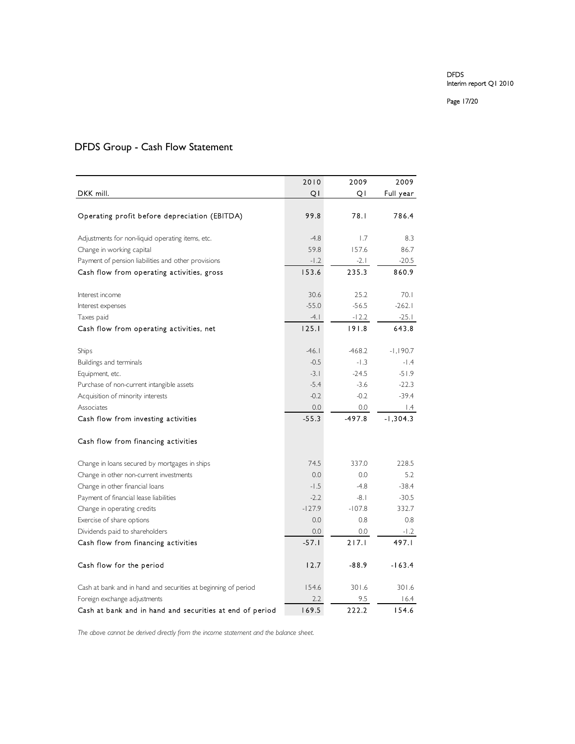#### Page 17/20

|                                                                | 2010     | 2009     | 2009            |
|----------------------------------------------------------------|----------|----------|-----------------|
| DKK mill.                                                      | QI       | Q        | Full year       |
|                                                                |          |          |                 |
| Operating profit before depreciation (EBITDA)                  | 99.8     | 78.1     | 786.4           |
| Adjustments for non-liquid operating items, etc.               | $-4.8$   | 1.7      | 8.3             |
| Change in working capital                                      | 59.8     | 157.6    | 86.7            |
| Payment of pension liabilities and other provisions            | $-1.2$   | $-2.1$   | $-20.5$         |
| Cash flow from operating activities, gross                     | 153.6    | 235.3    | 860.9           |
| Interest income                                                | 30.6     | 25.2     | 70.1            |
| Interest expenses                                              | $-55.0$  | $-56.5$  | $-262.1$        |
| Taxes paid                                                     | -4.1     | $-12.2$  | -25.1           |
| Cash flow from operating activities, net                       | 125.1    | 191.8    | 643.8           |
| Ships                                                          | $-46.1$  | $-468.2$ | $-1,190.7$      |
| Buildings and terminals                                        | $-0.5$   | $-1.3$   | $-1.4$          |
| Equipment, etc.                                                | $-3.1$   | $-24.5$  | $-51.9$         |
| Purchase of non-current intangible assets                      | $-5.4$   | $-3.6$   | $-22.3$         |
| Acquisition of minority interests                              | $-0.2$   | $-0.2$   | $-39.4$         |
| Associates                                                     | 0.0      | 0.0      | $\mathsf{I}$ .4 |
| Cash flow from investing activities                            | $-55.3$  | $-497.8$ | $-1,304.3$      |
| Cash flow from financing activities                            |          |          |                 |
| Change in loans secured by mortgages in ships                  | 74.5     | 337.0    | 228.5           |
| Change in other non-current investments                        | 0.0      | 0.0      | 5.2             |
| Change in other financial loans                                | $-1.5$   | $-4.8$   | $-38.4$         |
| Payment of financial lease liabilities                         | $-2.2$   | $-8.1$   | $-30.5$         |
| Change in operating credits                                    | $-127.9$ | $-107.8$ | 332.7           |
| Exercise of share options                                      | 0.0      | 0.8      | 0.8             |
| Dividends paid to shareholders                                 | 0.0      | 0.0      | $-1.2$          |
| Cash flow from financing activities                            | $-57.1$  | 217.1    | 497.I           |
| Cash flow for the period                                       | 12.7     | $-88.9$  | $-163.4$        |
| Cash at bank and in hand and securities at beginning of period | 154.6    | 301.6    | 301.6           |
| Foreign exchange adjustments                                   | 2.2      | 9.5      | 16.4            |
| Cash at bank and in hand and securities at end of period       | 169.5    | 222.2    | 154.6           |

# DFDS Group - Cash Flow Statement

*The above cannot be derived directly from the income statement and the balance sheet.*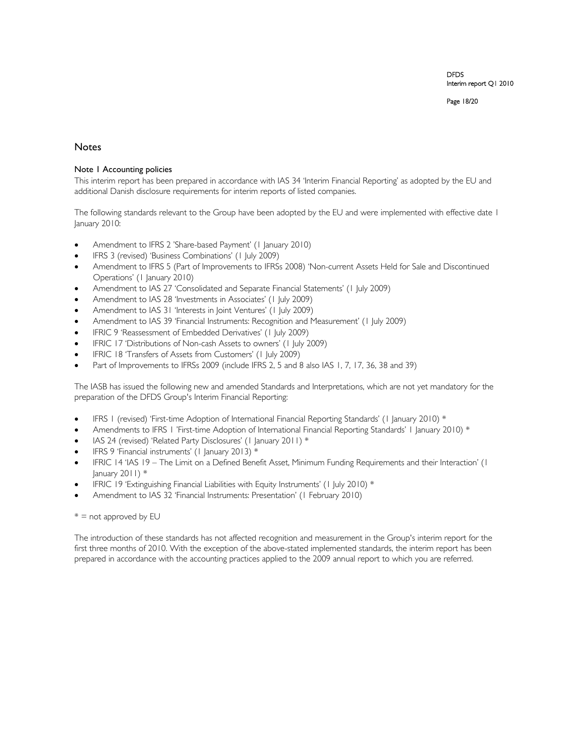Page 18/20

# **Notes**

# Note 1 Accounting policies

This interim report has been prepared in accordance with IAS 34 'Interim Financial Reporting' as adopted by the EU and additional Danish disclosure requirements for interim reports of listed companies.

The following standards relevant to the Group have been adopted by the EU and were implemented with effective date 1 January 2010:

- Amendment to IFRS 2 'Share-based Payment' (1 January 2010)
- IFRS 3 (revised) 'Business Combinations' (1 July 2009)
- Amendment to IFRS 5 (Part of Improvements to IFRSs 2008) 'Non-current Assets Held for Sale and Discontinued Operations' (1 January 2010)
- Amendment to IAS 27 'Consolidated and Separate Financial Statements' (1 July 2009)
- Amendment to IAS 28 'Investments in Associates' (1 July 2009)
- Amendment to IAS 31 'Interests in Joint Ventures' (1 July 2009)
- Amendment to IAS 39 'Financial Instruments: Recognition and Measurement' (1 July 2009)
- IFRIC 9 'Reassessment of Embedded Derivatives' (1 July 2009)
- IFRIC 17 'Distributions of Non-cash Assets to owners' (1 July 2009)
- IFRIC 18 'Transfers of Assets from Customers' (1 July 2009)
- Part of Improvements to IFRSs 2009 (include IFRS 2, 5 and 8 also IAS 1, 7, 17, 36, 38 and 39)

The IASB has issued the following new and amended Standards and Interpretations, which are not yet mandatory for the preparation of the DFDS Group's Interim Financial Reporting:

- IFRS 1 (revised) 'First-time Adoption of International Financial Reporting Standards' (1 January 2010) \*
- Amendments to IFRS 1 'First-time Adoption of International Financial Reporting Standards' 1 January 2010) \*
- IAS 24 (revised) 'Related Party Disclosures' (1 January 2011) \*
- IFRS 9 'Financial instruments' (1 January 2013) \*
- IFRIC 14 'IAS 19 The Limit on a Defined Benefit Asset, Minimum Funding Requirements and their Interaction' (1 January  $2011$ )  $*$
- IFRIC 19 'Extinguishing Financial Liabilities with Equity Instruments' (1 July 2010) \*
- Amendment to IAS 32 'Financial Instruments: Presentation' (1 February 2010)

# $* =$  not approved by EU

The introduction of these standards has not affected recognition and measurement in the Group's interim report for the first three months of 2010. With the exception of the above-stated implemented standards, the interim report has been prepared in accordance with the accounting practices applied to the 2009 annual report to which you are referred.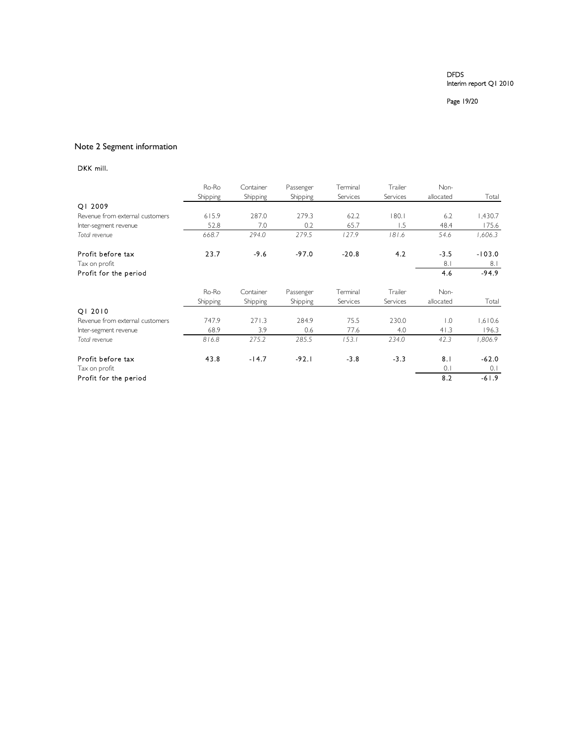Page 19/20

# Note 2 Segment information

# DKK mill.

|                                 | Ro-Ro    | Container | Passenger | Terminal | Trailer  | Non-             |          |
|---------------------------------|----------|-----------|-----------|----------|----------|------------------|----------|
|                                 | Shipping | Shipping  | Shipping  | Services | Services | allocated        | Total    |
| QI 2009                         |          |           |           |          |          |                  |          |
| Revenue from external customers | 615.9    | 287.0     | 279.3     | 62.2     | 180.1    | 6.2              | 1,430.7  |
| Inter-segment revenue           | 52.8     | 7.0       | 0.2       | 65.7     | 1.5      | 48.4             | 175.6    |
| Total revenue                   | 668.7    | 294.0     | 279.5     | 127.9    | 181.6    | 54.6             | 1,606.3  |
| Profit before tax               | 23.7     | $-9.6$    | $-97.0$   | $-20.8$  | 4.2      | $-3.5$           | $-103.0$ |
| Tax on profit                   |          |           |           |          |          | 8.1              | 8.1      |
| Profit for the period           |          |           |           |          |          | 4.6              | $-94.9$  |
|                                 | Ro-Ro    | Container | Passenger | Terminal | Trailer  | Non-             |          |
|                                 | Shipping | Shipping  | Shipping  | Services | Services | allocated        | Total    |
| 01 2010                         |          |           |           |          |          |                  |          |
| Revenue from external customers | 747.9    | 271.3     | 284.9     | 75.5     | 230.0    | $\overline{0}$ . | 1,610.6  |
| Inter-segment revenue           | 68.9     | 3.9       | 0.6       | 77.6     | 4.0      | 41.3             | 196.3    |
| Total revenue                   | 816.8    | 275.2     | 285.5     | 153.1    | 234.0    | 42.3             | 1.806.9  |
| Profit before tax               | 43.8     | $-14.7$   | $-92.1$   | $-3.8$   | $-3.3$   | 8.1              | $-62.0$  |
| Tax on profit                   |          |           |           |          |          | 0.1              | 0.1      |
| Profit for the period           |          |           |           |          |          | 8.2              | $-61.9$  |